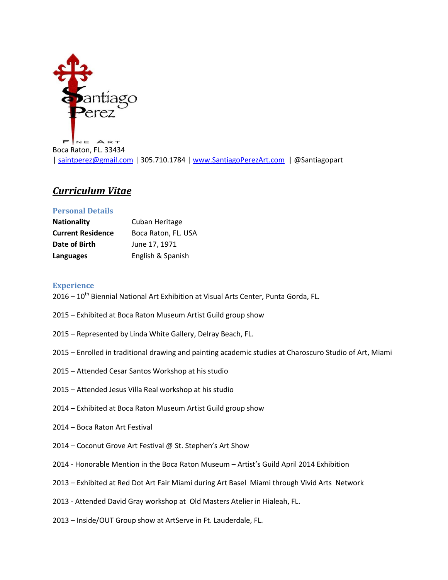

Boca Raton, FL. 33434 [| saintperez@gmail.com](mailto:saintperez@gmail.com) | 305.710.1784 [| www.SantiagoPerezArt.com](http://www.santiagoperezart.com/) | @Santiagopart

## *Curriculum Vitae*

## **Personal Details**

| <b>Nationality</b>       | Cuban Heritage      |
|--------------------------|---------------------|
| <b>Current Residence</b> | Boca Raton, FL. USA |
| Date of Birth            | June 17, 1971       |
| Languages                | English & Spanish   |

## **Experience**

2016 – 10<sup>th</sup> Biennial National Art Exhibition at Visual Arts Center, Punta Gorda, FL.

- 2015 Exhibited at Boca Raton Museum Artist Guild group show
- 2015 Represented by Linda White Gallery, Delray Beach, FL.
- 2015 Enrolled in traditional drawing and painting academic studies at Charoscuro Studio of Art, Miami
- 2015 Attended Cesar Santos Workshop at his studio
- 2015 Attended Jesus Villa Real workshop at his studio
- 2014 Exhibited at Boca Raton Museum Artist Guild group show
- 2014 Boca Raton Art Festival
- 2014 Coconut Grove Art Festival @ St. Stephen's Art Show
- 2014 Honorable Mention in the Boca Raton Museum Artist's Guild April 2014 Exhibition
- 2013 Exhibited at Red Dot Art Fair Miami during Art Basel Miami through Vivid Arts Network
- 2013 Attended David Gray workshop at Old Masters Atelier in Hialeah, FL.
- 2013 Inside/OUT Group show at ArtServe in Ft. Lauderdale, FL.